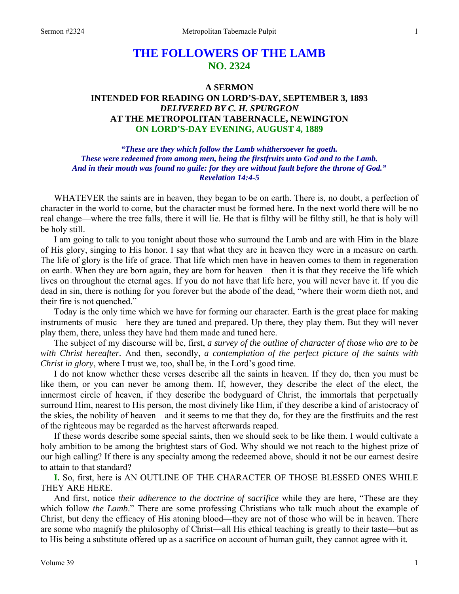# **THE FOLLOWERS OF THE LAMB NO. 2324**

### **A SERMON INTENDED FOR READING ON LORD'S-DAY, SEPTEMBER 3, 1893**  *DELIVERED BY C. H. SPURGEON*  **AT THE METROPOLITAN TABERNACLE, NEWINGTON ON LORD'S-DAY EVENING, AUGUST 4, 1889**

### *"These are they which follow the Lamb whithersoever he goeth. These were redeemed from among men, being the firstfruits unto God and to the Lamb. And in their mouth was found no guile: for they are without fault before the throne of God." Revelation 14:4-5*

WHATEVER the saints are in heaven, they began to be on earth. There is, no doubt, a perfection of character in the world to come, but the character must be formed here. In the next world there will be no real change—where the tree falls, there it will lie. He that is filthy will be filthy still, he that is holy will be holy still.

I am going to talk to you tonight about those who surround the Lamb and are with Him in the blaze of His glory, singing to His honor. I say that what they are in heaven they were in a measure on earth. The life of glory is the life of grace. That life which men have in heaven comes to them in regeneration on earth. When they are born again, they are born for heaven—then it is that they receive the life which lives on throughout the eternal ages. If you do not have that life here, you will never have it. If you die dead in sin, there is nothing for you forever but the abode of the dead, "where their worm dieth not, and their fire is not quenched."

Today is the only time which we have for forming our character. Earth is the great place for making instruments of music—here they are tuned and prepared. Up there, they play them. But they will never play them, there, unless they have had them made and tuned here.

The subject of my discourse will be, first, *a survey of the outline of character of those who are to be with Christ hereafter.* And then, secondly, *a contemplation of the perfect picture of the saints with Christ in glory*, where I trust we, too, shall be, in the Lord's good time.

I do not know whether these verses describe all the saints in heaven. If they do, then you must be like them, or you can never be among them. If, however, they describe the elect of the elect, the innermost circle of heaven, if they describe the bodyguard of Christ, the immortals that perpetually surround Him, nearest to His person, the most divinely like Him, if they describe a kind of aristocracy of the skies, the nobility of heaven—and it seems to me that they do, for they are the firstfruits and the rest of the righteous may be regarded as the harvest afterwards reaped.

If these words describe some special saints, then we should seek to be like them. I would cultivate a holy ambition to be among the brightest stars of God. Why should we not reach to the highest prize of our high calling? If there is any specialty among the redeemed above, should it not be our earnest desire to attain to that standard?

**I.** So, first, here is AN OUTLINE OF THE CHARACTER OF THOSE BLESSED ONES WHILE THEY ARE HERE.

And first, notice *their adherence to the doctrine of sacrifice* while they are here, "These are they which follow *the Lamb*." There are some professing Christians who talk much about the example of Christ, but deny the efficacy of His atoning blood—they are not of those who will be in heaven. There are some who magnify the philosophy of Christ—all His ethical teaching is greatly to their taste—but as to His being a substitute offered up as a sacrifice on account of human guilt, they cannot agree with it.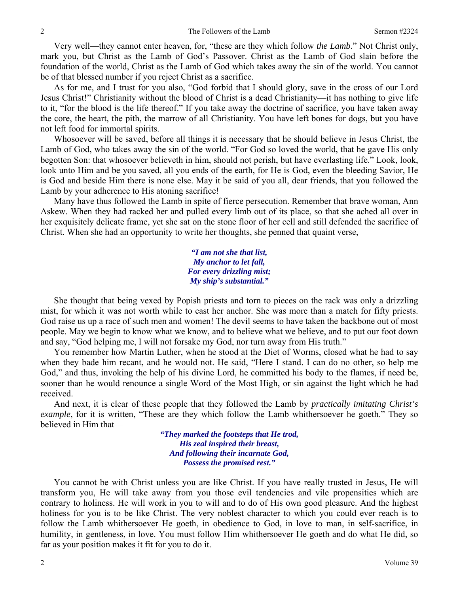Very well—they cannot enter heaven, for, "these are they which follow *the Lamb*." Not Christ only, mark you, but Christ as the Lamb of God's Passover. Christ as the Lamb of God slain before the foundation of the world, Christ as the Lamb of God which takes away the sin of the world. You cannot be of that blessed number if you reject Christ as a sacrifice.

As for me, and I trust for you also, "God forbid that I should glory, save in the cross of our Lord Jesus Christ!" Christianity without the blood of Christ is a dead Christianity—it has nothing to give life to it, "for the blood is the life thereof." If you take away the doctrine of sacrifice, you have taken away the core, the heart, the pith, the marrow of all Christianity. You have left bones for dogs, but you have not left food for immortal spirits.

Whosoever will be saved, before all things it is necessary that he should believe in Jesus Christ, the Lamb of God, who takes away the sin of the world. "For God so loved the world, that he gave His only begotten Son: that whosoever believeth in him, should not perish, but have everlasting life." Look, look, look unto Him and be you saved, all you ends of the earth, for He is God, even the bleeding Savior, He is God and beside Him there is none else. May it be said of you all, dear friends, that you followed the Lamb by your adherence to His atoning sacrifice!

Many have thus followed the Lamb in spite of fierce persecution. Remember that brave woman, Ann Askew. When they had racked her and pulled every limb out of its place, so that she ached all over in her exquisitely delicate frame, yet she sat on the stone floor of her cell and still defended the sacrifice of Christ. When she had an opportunity to write her thoughts, she penned that quaint verse,

> *"I am not she that list, My anchor to let fall, For every drizzling mist; My ship's substantial."*

She thought that being vexed by Popish priests and torn to pieces on the rack was only a drizzling mist, for which it was not worth while to cast her anchor. She was more than a match for fifty priests. God raise us up a race of such men and women! The devil seems to have taken the backbone out of most people. May we begin to know what we know, and to believe what we believe, and to put our foot down and say, "God helping me, I will not forsake my God, nor turn away from His truth."

You remember how Martin Luther, when he stood at the Diet of Worms, closed what he had to say when they bade him recant, and he would not. He said, "Here I stand. I can do no other, so help me God," and thus, invoking the help of his divine Lord, he committed his body to the flames, if need be, sooner than he would renounce a single Word of the Most High, or sin against the light which he had received.

And next, it is clear of these people that they followed the Lamb by *practically imitating Christ's example*, for it is written, "These are they which follow the Lamb whithersoever he goeth." They so believed in Him that—

> *"They marked the footsteps that He trod, His zeal inspired their breast, And following their incarnate God, Possess the promised rest."*

You cannot be with Christ unless you are like Christ. If you have really trusted in Jesus, He will transform you, He will take away from you those evil tendencies and vile propensities which are contrary to holiness. He will work in you to will and to do of His own good pleasure. And the highest holiness for you is to be like Christ. The very noblest character to which you could ever reach is to follow the Lamb whithersoever He goeth, in obedience to God, in love to man, in self-sacrifice, in humility, in gentleness, in love. You must follow Him whithersoever He goeth and do what He did, so far as your position makes it fit for you to do it.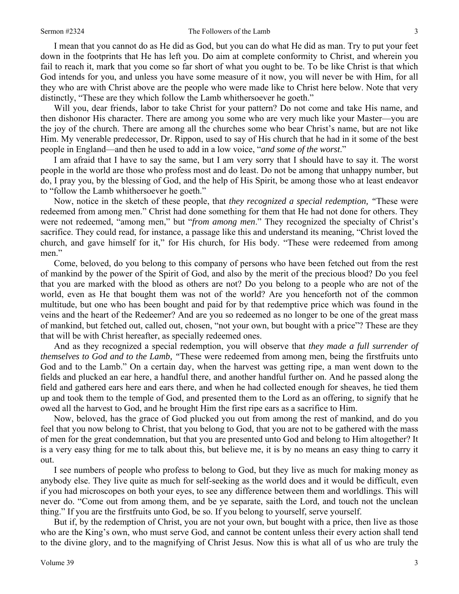#### Sermon #2324 The Followers of the Lamb 3

I mean that you cannot do as He did as God, but you can do what He did as man. Try to put your feet down in the footprints that He has left you. Do aim at complete conformity to Christ, and wherein you fail to reach it, mark that you come so far short of what you ought to be. To be like Christ is that which God intends for you, and unless you have some measure of it now, you will never be with Him, for all they who are with Christ above are the people who were made like to Christ here below. Note that very distinctly, "These are they which follow the Lamb whithersoever he goeth."

Will you, dear friends, labor to take Christ for your pattern? Do not come and take His name, and then dishonor His character. There are among you some who are very much like your Master—you are the joy of the church. There are among all the churches some who bear Christ's name, but are not like Him. My venerable predecessor, Dr. Rippon, used to say of His church that he had in it some of the best people in England—and then he used to add in a low voice, "*and some of the worst*."

I am afraid that I have to say the same, but I am very sorry that I should have to say it. The worst people in the world are those who profess most and do least. Do not be among that unhappy number, but do, I pray you, by the blessing of God, and the help of His Spirit, be among those who at least endeavor to "follow the Lamb whithersoever he goeth."

Now, notice in the sketch of these people, that *they recognized a special redemption, "*These were redeemed from among men." Christ had done something for them that He had not done for others. They were not redeemed, "among men," but "*from among men*." They recognized the specialty of Christ's sacrifice. They could read, for instance, a passage like this and understand its meaning, "Christ loved the church, and gave himself for it," for His church, for His body. "These were redeemed from among men."

Come, beloved, do you belong to this company of persons who have been fetched out from the rest of mankind by the power of the Spirit of God, and also by the merit of the precious blood? Do you feel that you are marked with the blood as others are not? Do you belong to a people who are not of the world, even as He that bought them was not of the world? Are you henceforth not of the common multitude, but one who has been bought and paid for by that redemptive price which was found in the veins and the heart of the Redeemer? And are you so redeemed as no longer to be one of the great mass of mankind, but fetched out, called out, chosen, "not your own, but bought with a price"? These are they that will be with Christ hereafter, as specially redeemed ones.

And as they recognized a special redemption, you will observe that *they made a full surrender of themselves to God and to the Lamb, "*These were redeemed from among men, being the firstfruits unto God and to the Lamb." On a certain day, when the harvest was getting ripe, a man went down to the fields and plucked an ear here, a handful there, and another handful further on. And he passed along the field and gathered ears here and ears there, and when he had collected enough for sheaves, he tied them up and took them to the temple of God, and presented them to the Lord as an offering, to signify that he owed all the harvest to God, and he brought Him the first ripe ears as a sacrifice to Him.

Now, beloved, has the grace of God plucked you out from among the rest of mankind, and do you feel that you now belong to Christ, that you belong to God, that you are not to be gathered with the mass of men for the great condemnation, but that you are presented unto God and belong to Him altogether? It is a very easy thing for me to talk about this, but believe me, it is by no means an easy thing to carry it out.

I see numbers of people who profess to belong to God, but they live as much for making money as anybody else. They live quite as much for self-seeking as the world does and it would be difficult, even if you had microscopes on both your eyes, to see any difference between them and worldlings. This will never do. "Come out from among them, and be ye separate, saith the Lord, and touch not the unclean thing." If you are the firstfruits unto God, be so. If you belong to yourself, serve yourself.

But if, by the redemption of Christ, you are not your own, but bought with a price, then live as those who are the King's own, who must serve God, and cannot be content unless their every action shall tend to the divine glory, and to the magnifying of Christ Jesus. Now this is what all of us who are truly the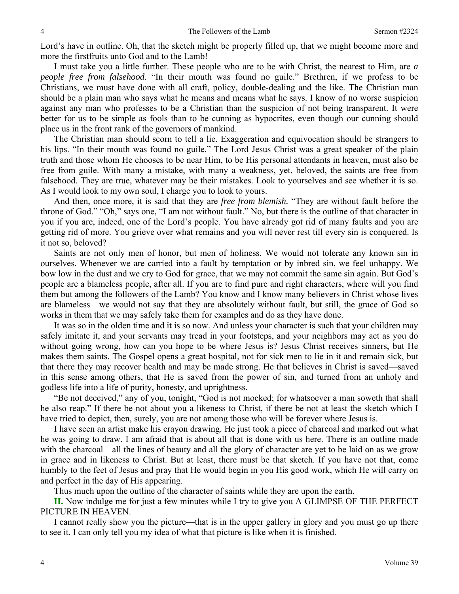Lord's have in outline. Oh, that the sketch might be properly filled up, that we might become more and more the firstfruits unto God and to the Lamb!

I must take you a little further. These people who are to be with Christ, the nearest to Him, are *a people free from falsehood*. "In their mouth was found no guile." Brethren, if we profess to be Christians, we must have done with all craft, policy, double-dealing and the like. The Christian man should be a plain man who says what he means and means what he says. I know of no worse suspicion against any man who professes to be a Christian than the suspicion of not being transparent. It were better for us to be simple as fools than to be cunning as hypocrites, even though our cunning should place us in the front rank of the governors of mankind.

The Christian man should scorn to tell a lie. Exaggeration and equivocation should be strangers to his lips. "In their mouth was found no guile." The Lord Jesus Christ was a great speaker of the plain truth and those whom He chooses to be near Him, to be His personal attendants in heaven, must also be free from guile. With many a mistake, with many a weakness, yet, beloved, the saints are free from falsehood. They are true, whatever may be their mistakes. Look to yourselves and see whether it is so. As I would look to my own soul, I charge you to look to yours.

And then, once more, it is said that they are *free from blemish.* "They are without fault before the throne of God." "Oh," says one, "I am not without fault." No, but there is the outline of that character in you if you are, indeed, one of the Lord's people. You have already got rid of many faults and you are getting rid of more. You grieve over what remains and you will never rest till every sin is conquered. Is it not so, beloved?

Saints are not only men of honor, but men of holiness. We would not tolerate any known sin in ourselves. Whenever we are carried into a fault by temptation or by inbred sin, we feel unhappy. We bow low in the dust and we cry to God for grace, that we may not commit the same sin again. But God's people are a blameless people, after all. If you are to find pure and right characters, where will you find them but among the followers of the Lamb? You know and I know many believers in Christ whose lives are blameless—we would not say that they are absolutely without fault, but still, the grace of God so works in them that we may safely take them for examples and do as they have done.

It was so in the olden time and it is so now. And unless your character is such that your children may safely imitate it, and your servants may tread in your footsteps, and your neighbors may act as you do without going wrong, how can you hope to be where Jesus is? Jesus Christ receives sinners, but He makes them saints. The Gospel opens a great hospital, not for sick men to lie in it and remain sick, but that there they may recover health and may be made strong. He that believes in Christ is saved—saved in this sense among others, that He is saved from the power of sin, and turned from an unholy and godless life into a life of purity, honesty, and uprightness.

"Be not deceived," any of you, tonight, "God is not mocked; for whatsoever a man soweth that shall he also reap." If there be not about you a likeness to Christ, if there be not at least the sketch which I have tried to depict, then, surely, you are not among those who will be forever where Jesus is.

I have seen an artist make his crayon drawing. He just took a piece of charcoal and marked out what he was going to draw. I am afraid that is about all that is done with us here. There is an outline made with the charcoal—all the lines of beauty and all the glory of character are yet to be laid on as we grow in grace and in likeness to Christ. But at least, there must be that sketch. If you have not that, come humbly to the feet of Jesus and pray that He would begin in you His good work, which He will carry on and perfect in the day of His appearing.

Thus much upon the outline of the character of saints while they are upon the earth.

**II.** Now indulge me for just a few minutes while I try to give you A GLIMPSE OF THE PERFECT PICTURE IN HEAVEN.

I cannot really show you the picture—that is in the upper gallery in glory and you must go up there to see it. I can only tell you my idea of what that picture is like when it is finished.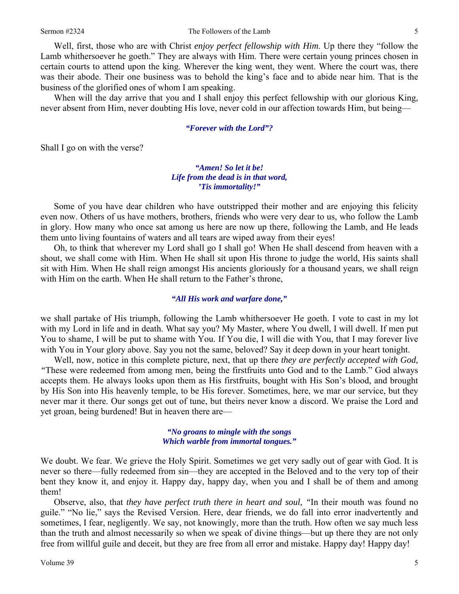Well, first, those who are with Christ *enjoy perfect fellowship with Him*. Up there they "follow the Lamb whithersoever he goeth." They are always with Him. There were certain young princes chosen in certain courts to attend upon the king. Wherever the king went, they went. Where the court was, there was their abode. Their one business was to behold the king's face and to abide near him. That is the business of the glorified ones of whom I am speaking.

When will the day arrive that you and I shall enjoy this perfect fellowship with our glorious King, never absent from Him, never doubting His love, never cold in our affection towards Him, but being—

#### *"Forever with the Lord"?*

Shall I go on with the verse?

### *"Amen! So let it be! Life from the dead is in that word, 'Tis immortality!"*

Some of you have dear children who have outstripped their mother and are enjoying this felicity even now. Others of us have mothers, brothers, friends who were very dear to us, who follow the Lamb in glory. How many who once sat among us here are now up there, following the Lamb, and He leads them unto living fountains of waters and all tears are wiped away from their eyes!

Oh, to think that wherever my Lord shall go I shall go! When He shall descend from heaven with a shout, we shall come with Him. When He shall sit upon His throne to judge the world, His saints shall sit with Him. When He shall reign amongst His ancients gloriously for a thousand years, we shall reign with Him on the earth. When He shall return to the Father's throne,

#### *"All His work and warfare done,"*

we shall partake of His triumph, following the Lamb whithersoever He goeth. I vote to cast in my lot with my Lord in life and in death. What say you? My Master, where You dwell, I will dwell. If men put You to shame, I will be put to shame with You. If You die, I will die with You, that I may forever live with You in Your glory above. Say you not the same, beloved? Say it deep down in your heart tonight.

Well, now, notice in this complete picture, next, that up there *they are perfectly accepted with God, "*These were redeemed from among men, being the firstfruits unto God and to the Lamb." God always accepts them. He always looks upon them as His firstfruits, bought with His Son's blood, and brought by His Son into His heavenly temple, to be His forever. Sometimes, here, we mar our service, but they never mar it there. Our songs get out of tune, but theirs never know a discord. We praise the Lord and yet groan, being burdened! But in heaven there are—

> *"No groans to mingle with the songs Which warble from immortal tongues."*

We doubt. We fear. We grieve the Holy Spirit. Sometimes we get very sadly out of gear with God. It is never so there—fully redeemed from sin—they are accepted in the Beloved and to the very top of their bent they know it, and enjoy it. Happy day, happy day, when you and I shall be of them and among them!

Observe, also, that *they have perfect truth there in heart and soul, "*In their mouth was found no guile." "No lie," says the Revised Version. Here, dear friends, we do fall into error inadvertently and sometimes, I fear, negligently. We say, not knowingly, more than the truth. How often we say much less than the truth and almost necessarily so when we speak of divine things—but up there they are not only free from willful guile and deceit, but they are free from all error and mistake. Happy day! Happy day!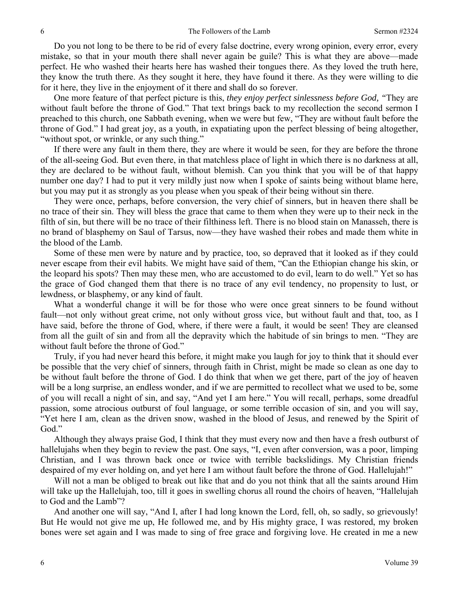Do you not long to be there to be rid of every false doctrine, every wrong opinion, every error, every mistake, so that in your mouth there shall never again be guile? This is what they are above—made perfect. He who washed their hearts here has washed their tongues there. As they loved the truth here, they know the truth there. As they sought it here, they have found it there. As they were willing to die for it here, they live in the enjoyment of it there and shall do so forever.

One more feature of that perfect picture is this, *they enjoy perfect sinlessness before God, "*They are without fault before the throne of God." That text brings back to my recollection the second sermon I preached to this church, one Sabbath evening, when we were but few, "They are without fault before the throne of God." I had great joy, as a youth, in expatiating upon the perfect blessing of being altogether, "without spot, or wrinkle, or any such thing."

If there were any fault in them there, they are where it would be seen, for they are before the throne of the all-seeing God. But even there, in that matchless place of light in which there is no darkness at all, they are declared to be without fault, without blemish. Can you think that you will be of that happy number one day? I had to put it very mildly just now when I spoke of saints being without blame here, but you may put it as strongly as you please when you speak of their being without sin there.

They were once, perhaps, before conversion, the very chief of sinners, but in heaven there shall be no trace of their sin. They will bless the grace that came to them when they were up to their neck in the filth of sin, but there will be no trace of their filthiness left. There is no blood stain on Manasseh, there is no brand of blasphemy on Saul of Tarsus, now—they have washed their robes and made them white in the blood of the Lamb.

Some of these men were by nature and by practice, too, so depraved that it looked as if they could never escape from their evil habits. We might have said of them, "Can the Ethiopian change his skin, or the leopard his spots? Then may these men, who are accustomed to do evil, learn to do well." Yet so has the grace of God changed them that there is no trace of any evil tendency, no propensity to lust, or lewdness, or blasphemy, or any kind of fault.

What a wonderful change it will be for those who were once great sinners to be found without fault—not only without great crime, not only without gross vice, but without fault and that, too, as I have said, before the throne of God, where, if there were a fault, it would be seen! They are cleansed from all the guilt of sin and from all the depravity which the habitude of sin brings to men. "They are without fault before the throne of God."

Truly, if you had never heard this before, it might make you laugh for joy to think that it should ever be possible that the very chief of sinners, through faith in Christ, might be made so clean as one day to be without fault before the throne of God. I do think that when we get there, part of the joy of heaven will be a long surprise, an endless wonder, and if we are permitted to recollect what we used to be, some of you will recall a night of sin, and say, "And yet I am here." You will recall, perhaps, some dreadful passion, some atrocious outburst of foul language, or some terrible occasion of sin, and you will say, "Yet here I am, clean as the driven snow, washed in the blood of Jesus, and renewed by the Spirit of God."

Although they always praise God, I think that they must every now and then have a fresh outburst of hallelujahs when they begin to review the past. One says, "I, even after conversion, was a poor, limping Christian, and I was thrown back once or twice with terrible backslidings. My Christian friends despaired of my ever holding on, and yet here I am without fault before the throne of God. Hallelujah!"

Will not a man be obliged to break out like that and do you not think that all the saints around Him will take up the Hallelujah, too, till it goes in swelling chorus all round the choirs of heaven, "Hallelujah to God and the Lamb"?

And another one will say, "And I, after I had long known the Lord, fell, oh, so sadly, so grievously! But He would not give me up, He followed me, and by His mighty grace, I was restored, my broken bones were set again and I was made to sing of free grace and forgiving love. He created in me a new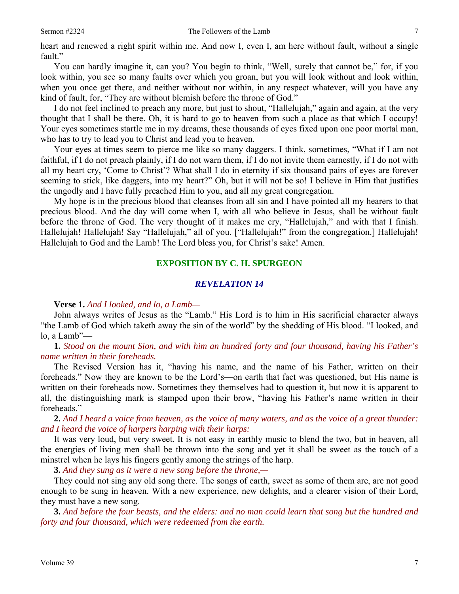heart and renewed a right spirit within me. And now I, even I, am here without fault, without a single fault."

You can hardly imagine it, can you? You begin to think, "Well, surely that cannot be," for, if you look within, you see so many faults over which you groan, but you will look without and look within, when you once get there, and neither without nor within, in any respect whatever, will you have any kind of fault, for, "They are without blemish before the throne of God."

I do not feel inclined to preach any more, but just to shout, "Hallelujah," again and again, at the very thought that I shall be there. Oh, it is hard to go to heaven from such a place as that which I occupy! Your eyes sometimes startle me in my dreams, these thousands of eyes fixed upon one poor mortal man, who has to try to lead you to Christ and lead you to heaven.

Your eyes at times seem to pierce me like so many daggers. I think, sometimes, "What if I am not faithful, if I do not preach plainly, if I do not warn them, if I do not invite them earnestly, if I do not with all my heart cry, 'Come to Christ'? What shall I do in eternity if six thousand pairs of eyes are forever seeming to stick, like daggers, into my heart?" Oh, but it will not be so! I believe in Him that justifies the ungodly and I have fully preached Him to you, and all my great congregation.

My hope is in the precious blood that cleanses from all sin and I have pointed all my hearers to that precious blood. And the day will come when I, with all who believe in Jesus, shall be without fault before the throne of God. The very thought of it makes me cry, "Hallelujah," and with that I finish. Hallelujah! Hallelujah! Say "Hallelujah," all of you. ["Hallelujah!" from the congregation.] Hallelujah! Hallelujah to God and the Lamb! The Lord bless you, for Christ's sake! Amen.

#### **EXPOSITION BY C. H. SPURGEON**

### *REVELATION 14*

**Verse 1.** *And I looked, and lo, a Lamb—* 

John always writes of Jesus as the "Lamb." His Lord is to him in His sacrificial character always "the Lamb of God which taketh away the sin of the world" by the shedding of His blood. "I looked, and lo, a Lamb"—

**1.** *Stood on the mount Sion, and with him an hundred forty and four thousand, having his Father's name written in their foreheads.* 

The Revised Version has it, "having his name, and the name of his Father, written on their foreheads." Now they are known to be the Lord's—on earth that fact was questioned, but His name is written on their foreheads now. Sometimes they themselves had to question it, but now it is apparent to all, the distinguishing mark is stamped upon their brow, "having his Father's name written in their foreheads."

**2.** *And I heard a voice from heaven, as the voice of many waters, and as the voice of a great thunder: and I heard the voice of harpers harping with their harps:* 

It was very loud, but very sweet. It is not easy in earthly music to blend the two, but in heaven, all the energies of living men shall be thrown into the song and yet it shall be sweet as the touch of a minstrel when he lays his fingers gently among the strings of the harp.

**3.** *And they sung as it were a new song before the throne,—* 

They could not sing any old song there. The songs of earth, sweet as some of them are, are not good enough to be sung in heaven. With a new experience, new delights, and a clearer vision of their Lord, they must have a new song.

**3.** *And before the four beasts, and the elders: and no man could learn that song but the hundred and forty and four thousand, which were redeemed from the earth.*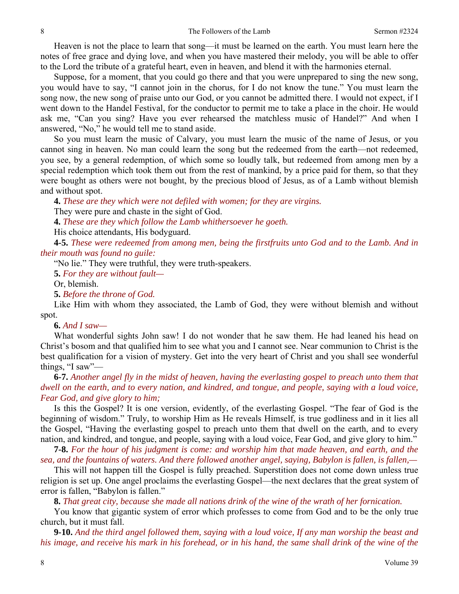Heaven is not the place to learn that song—it must be learned on the earth. You must learn here the notes of free grace and dying love, and when you have mastered their melody, you will be able to offer to the Lord the tribute of a grateful heart, even in heaven, and blend it with the harmonies eternal.

Suppose, for a moment, that you could go there and that you were unprepared to sing the new song, you would have to say, "I cannot join in the chorus, for I do not know the tune." You must learn the song now, the new song of praise unto our God, or you cannot be admitted there. I would not expect, if I went down to the Handel Festival, for the conductor to permit me to take a place in the choir. He would ask me, "Can you sing? Have you ever rehearsed the matchless music of Handel?" And when I answered, "No," he would tell me to stand aside.

So you must learn the music of Calvary, you must learn the music of the name of Jesus, or you cannot sing in heaven. No man could learn the song but the redeemed from the earth—not redeemed, you see, by a general redemption, of which some so loudly talk, but redeemed from among men by a special redemption which took them out from the rest of mankind, by a price paid for them, so that they were bought as others were not bought, by the precious blood of Jesus, as of a Lamb without blemish and without spot.

**4.** *These are they which were not defiled with women; for they are virgins.*  They were pure and chaste in the sight of God.

**4.** *These are they which follow the Lamb whithersoever he goeth.* 

His choice attendants, His bodyguard.

**4-5.** *These were redeemed from among men, being the firstfruits unto God and to the Lamb. And in their mouth was found no guile:* 

"No lie." They were truthful, they were truth-speakers.

**5.** *For they are without fault—*

Or, blemish.

**5.** *Before the throne of God.* 

Like Him with whom they associated, the Lamb of God, they were without blemish and without spot.

### **6.** *And I saw—*

What wonderful sights John saw! I do not wonder that he saw them. He had leaned his head on Christ's bosom and that qualified him to see what you and I cannot see. Near communion to Christ is the best qualification for a vision of mystery. Get into the very heart of Christ and you shall see wonderful things, "I saw"—

**6-7.** *Another angel fly in the midst of heaven, having the everlasting gospel to preach unto them that dwell on the earth, and to every nation, and kindred, and tongue, and people, saying with a loud voice, Fear God, and give glory to him;* 

Is this the Gospel? It is one version, evidently, of the everlasting Gospel. "The fear of God is the beginning of wisdom." Truly, to worship Him as He reveals Himself, is true godliness and in it lies all the Gospel, "Having the everlasting gospel to preach unto them that dwell on the earth, and to every nation, and kindred, and tongue, and people, saying with a loud voice, Fear God, and give glory to him."

**7-8.** *For the hour of his judgment is come: and worship him that made heaven, and earth, and the sea, and the fountains of waters. And there followed another angel, saying, Babylon is fallen, is fallen,—* 

This will not happen till the Gospel is fully preached. Superstition does not come down unless true religion is set up. One angel proclaims the everlasting Gospel—the next declares that the great system of error is fallen, "Babylon is fallen."

**8.** *That great city, because she made all nations drink of the wine of the wrath of her fornication.* 

You know that gigantic system of error which professes to come from God and to be the only true church, but it must fall.

**9-10.** *And the third angel followed them, saying with a loud voice, If any man worship the beast and his image, and receive his mark in his forehead, or in his hand, the same shall drink of the wine of the*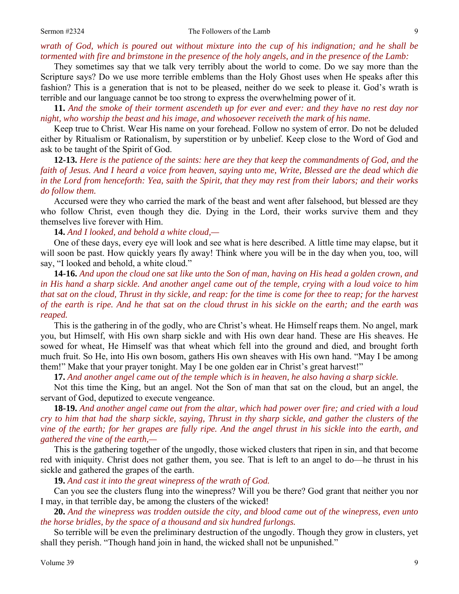*wrath of God, which is poured out without mixture into the cup of his indignation; and he shall be tormented with fire and brimstone in the presence of the holy angels, and in the presence of the Lamb:* 

They sometimes say that we talk very terribly about the world to come. Do we say more than the Scripture says? Do we use more terrible emblems than the Holy Ghost uses when He speaks after this fashion? This is a generation that is not to be pleased, neither do we seek to please it. God's wrath is terrible and our language cannot be too strong to express the overwhelming power of it.

**11.** *And the smoke of their torment ascendeth up for ever and ever: and they have no rest day nor night, who worship the beast and his image, and whosoever receiveth the mark of his name.* 

Keep true to Christ. Wear His name on your forehead. Follow no system of error. Do not be deluded either by Ritualism or Rationalism, by superstition or by unbelief. Keep close to the Word of God and ask to be taught of the Spirit of God.

**12-13.** *Here is the patience of the saints: here are they that keep the commandments of God, and the faith of Jesus. And I heard a voice from heaven, saying unto me, Write, Blessed are the dead which die in the Lord from henceforth: Yea, saith the Spirit, that they may rest from their labors; and their works do follow them.* 

Accursed were they who carried the mark of the beast and went after falsehood, but blessed are they who follow Christ, even though they die. Dying in the Lord, their works survive them and they themselves live forever with Him.

**14.** *And I looked, and behold a white cloud,—* 

One of these days, every eye will look and see what is here described. A little time may elapse, but it will soon be past. How quickly years fly away! Think where you will be in the day when you, too, will say, "I looked and behold, a white cloud."

**14-16.** *And upon the cloud one sat like unto the Son of man, having on His head a golden crown, and in His hand a sharp sickle. And another angel came out of the temple, crying with a loud voice to him that sat on the cloud, Thrust in thy sickle, and reap: for the time is come for thee to reap; for the harvest of the earth is ripe. And he that sat on the cloud thrust in his sickle on the earth; and the earth was reaped.* 

This is the gathering in of the godly, who are Christ's wheat. He Himself reaps them. No angel, mark you, but Himself, with His own sharp sickle and with His own dear hand. These are His sheaves. He sowed for wheat, He Himself was that wheat which fell into the ground and died, and brought forth much fruit. So He, into His own bosom, gathers His own sheaves with His own hand. "May I be among them!" Make that your prayer tonight. May I be one golden ear in Christ's great harvest!"

**17.** *And another angel came out of the temple which is in heaven, he also having a sharp sickle.* 

Not this time the King, but an angel. Not the Son of man that sat on the cloud, but an angel, the servant of God, deputized to execute vengeance.

**18-19.** *And another angel came out from the altar, which had power over fire; and cried with a loud cry to him that had the sharp sickle, saying, Thrust in thy sharp sickle, and gather the clusters of the vine of the earth; for her grapes are fully ripe. And the angel thrust in his sickle into the earth, and gathered the vine of the earth,—* 

This is the gathering together of the ungodly, those wicked clusters that ripen in sin, and that become red with iniquity. Christ does not gather them, you see. That is left to an angel to do—he thrust in his sickle and gathered the grapes of the earth.

**19.** *And cast it into the great winepress of the wrath of God.* 

Can you see the clusters flung into the winepress? Will you be there? God grant that neither you nor I may, in that terrible day, be among the clusters of the wicked!

**20.** *And the winepress was trodden outside the city, and blood came out of the winepress, even unto the horse bridles, by the space of a thousand and six hundred furlongs.* 

So terrible will be even the preliminary destruction of the ungodly. Though they grow in clusters, yet shall they perish. "Though hand join in hand, the wicked shall not be unpunished."